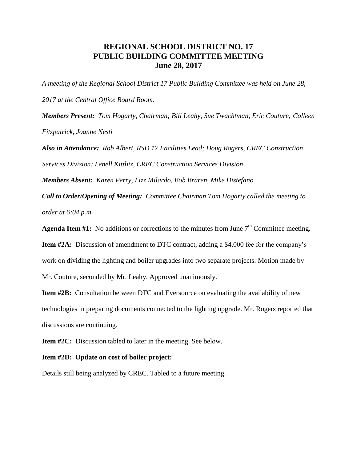## **REGIONAL SCHOOL DISTRICT NO. 17 PUBLIC BUILDING COMMITTEE MEETING June 28, 2017**

*A meeting of the Regional School District 17 Public Building Committee was held on June 28, 2017 at the Central Office Board Room.*

*Members Present: Tom Hogarty, Chairman; Bill Leahy, Sue Twachtman, Eric Couture, Colleen Fitzpatrick, Joanne Nesti*

*Also in Attendance: Rob Albert, RSD 17 Facilities Lead; Doug Rogers, CREC Construction Services Division; Lenell Kittlitz, CREC Construction Services Division*

*Members Absent: Karen Perry, Lizz Milardo, Bob Braren, Mike Distefano*

*Call to Order/Opening of Meeting: Committee Chairman Tom Hogarty called the meeting to order at 6:04 p.m.* 

**Agenda Item #1:** No additions or corrections to the minutes from June  $7<sup>th</sup>$  Committee meeting.

**Item #2A:** Discussion of amendment to DTC contract, adding a \$4,000 fee for the company's work on dividing the lighting and boiler upgrades into two separate projects. Motion made by

Mr. Couture, seconded by Mr. Leahy. Approved unanimously.

**Item #2B:** Consultation between DTC and Eversource on evaluating the availability of new technologies in preparing documents connected to the lighting upgrade. Mr. Rogers reported that discussions are continuing.

**Item #2C:** Discussion tabled to later in the meeting. See below.

## **Item #2D: Update on cost of boiler project:**

Details still being analyzed by CREC. Tabled to a future meeting.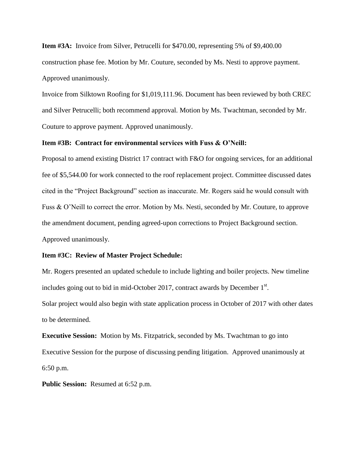**Item #3A:** Invoice from Silver, Petrucelli for \$470.00, representing 5% of \$9,400.00 construction phase fee. Motion by Mr. Couture, seconded by Ms. Nesti to approve payment. Approved unanimously.

Invoice from Silktown Roofing for \$1,019,111.96. Document has been reviewed by both CREC and Silver Petrucelli; both recommend approval. Motion by Ms. Twachtman, seconded by Mr. Couture to approve payment. Approved unanimously.

## **Item #3B: Contract for environmental services with Fuss & O'Neill:**

Proposal to amend existing District 17 contract with F&O for ongoing services, for an additional fee of \$5,544.00 for work connected to the roof replacement project. Committee discussed dates cited in the "Project Background" section as inaccurate. Mr. Rogers said he would consult with Fuss & O'Neill to correct the error. Motion by Ms. Nesti, seconded by Mr. Couture, to approve the amendment document, pending agreed-upon corrections to Project Background section. Approved unanimously.

## **Item #3C: Review of Master Project Schedule:**

Mr. Rogers presented an updated schedule to include lighting and boiler projects. New timeline includes going out to bid in mid-October 2017, contract awards by December  $1<sup>st</sup>$ . Solar project would also begin with state application process in October of 2017 with other dates to be determined.

**Executive Session:** Motion by Ms. Fitzpatrick, seconded by Ms. Twachtman to go into Executive Session for the purpose of discussing pending litigation. Approved unanimously at 6:50 p.m.

**Public Session:** Resumed at 6:52 p.m.